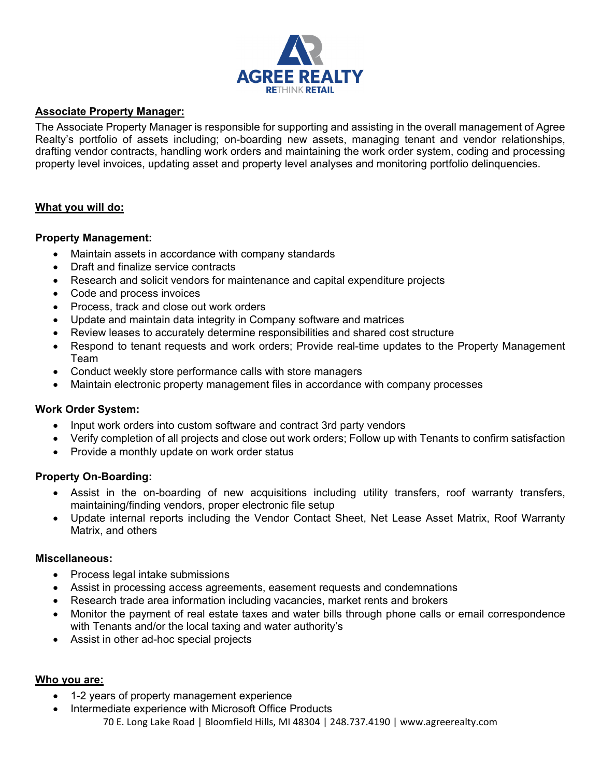

# **Associate Property Manager:**

The Associate Property Manager is responsible for supporting and assisting in the overall management of Agree Realty's portfolio of assets including; on-boarding new assets, managing tenant and vendor relationships, drafting vendor contracts, handling work orders and maintaining the work order system, coding and processing property level invoices, updating asset and property level analyses and monitoring portfolio delinquencies.

### **What you will do:**

### **Property Management:**

- Maintain assets in accordance with company standards
- Draft and finalize service contracts
- Research and solicit vendors for maintenance and capital expenditure projects
- Code and process invoices
- Process, track and close out work orders
- Update and maintain data integrity in Company software and matrices
- Review leases to accurately determine responsibilities and shared cost structure
- Respond to tenant requests and work orders; Provide real-time updates to the Property Management Team
- Conduct weekly store performance calls with store managers
- Maintain electronic property management files in accordance with company processes

#### **Work Order System:**

- Input work orders into custom software and contract 3rd party vendors
- Verify completion of all projects and close out work orders; Follow up with Tenants to confirm satisfaction
- Provide a monthly update on work order status

#### **Property On-Boarding:**

- Assist in the on-boarding of new acquisitions including utility transfers, roof warranty transfers, maintaining/finding vendors, proper electronic file setup
- Update internal reports including the Vendor Contact Sheet, Net Lease Asset Matrix, Roof Warranty Matrix, and others

#### **Miscellaneous:**

- Process legal intake submissions
- Assist in processing access agreements, easement requests and condemnations
- Research trade area information including vacancies, market rents and brokers
- Monitor the payment of real estate taxes and water bills through phone calls or email correspondence with Tenants and/or the local taxing and water authority's
- Assist in other ad-hoc special projects

# **Who you are:**

- 1-2 years of property management experience
- 70 E. Long Lake Road | Bloomfield Hills, MI 48304 | 248.737.4190 | www.agreerealty.com Intermediate experience with Microsoft Office Products